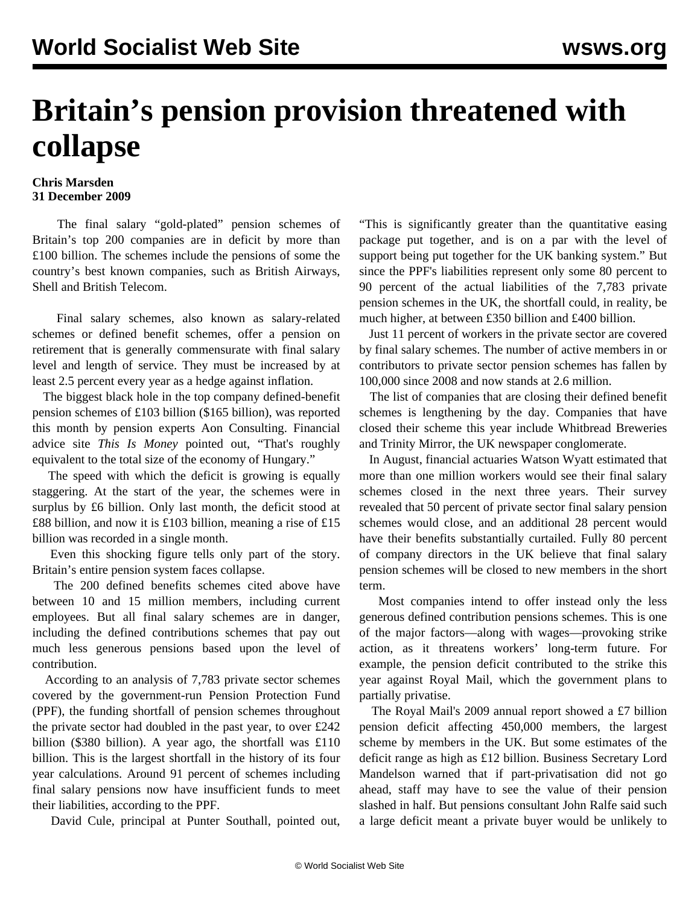## **Britain's pension provision threatened with collapse**

## **Chris Marsden 31 December 2009**

 The final salary "gold-plated" pension schemes of Britain's top 200 companies are in deficit by more than £100 billion. The schemes include the pensions of some the country's best known companies, such as British Airways, Shell and British Telecom.

 Final salary schemes, also known as salary-related schemes or defined benefit schemes, offer a pension on retirement that is generally commensurate with final salary level and length of service. They must be increased by at least 2.5 percent every year as a hedge against inflation.

 The biggest black hole in the top company defined-benefit pension schemes of £103 billion (\$165 billion), was reported this month by pension experts Aon Consulting. Financial advice site *This Is Money* pointed out, "That's roughly equivalent to the total size of the economy of Hungary."

 The speed with which the deficit is growing is equally staggering. At the start of the year, the schemes were in surplus by £6 billion. Only last month, the deficit stood at £88 billion, and now it is £103 billion, meaning a rise of £15 billion was recorded in a single month.

 Even this shocking figure tells only part of the story. Britain's entire pension system faces collapse.

 The 200 defined benefits schemes cited above have between 10 and 15 million members, including current employees. But all final salary schemes are in danger, including the defined contributions schemes that pay out much less generous pensions based upon the level of contribution.

 According to an analysis of 7,783 private sector schemes covered by the government-run Pension Protection Fund (PPF), the funding shortfall of pension schemes throughout the private sector had doubled in the past year, to over £242 billion (\$380 billion). A year ago, the shortfall was £110 billion. This is the largest shortfall in the history of its four year calculations. Around 91 percent of schemes including final salary pensions now have insufficient funds to meet their liabilities, according to the PPF.

David Cule, principal at Punter Southall, pointed out,

"This is significantly greater than the quantitative easing package put together, and is on a par with the level of support being put together for the UK banking system." But since the PPF's liabilities represent only some 80 percent to 90 percent of the actual liabilities of the 7,783 private pension schemes in the UK, the shortfall could, in reality, be much higher, at between £350 billion and £400 billion.

 Just 11 percent of workers in the private sector are covered by final salary schemes. The number of active members in or contributors to private sector pension schemes has fallen by 100,000 since 2008 and now stands at 2.6 million.

 The list of companies that are closing their defined benefit schemes is lengthening by the day. Companies that have closed their scheme this year include Whitbread Breweries and Trinity Mirror, the UK newspaper conglomerate.

 In August, financial actuaries Watson Wyatt estimated that more than one million workers would see their final salary schemes closed in the next three years. Their survey revealed that 50 percent of private sector final salary pension schemes would close, and an additional 28 percent would have their benefits substantially curtailed. Fully 80 percent of company directors in the UK believe that final salary pension schemes will be closed to new members in the short term.

 Most companies intend to offer instead only the less generous defined contribution pensions schemes. This is one of the major factors—along with wages—provoking strike action, as it threatens workers' long-term future. For example, the pension deficit contributed to the strike this year against Royal Mail, which the government plans to partially privatise.

 The Royal Mail's 2009 annual report showed a £7 billion pension deficit affecting 450,000 members, the largest scheme by members in the UK. But some estimates of the deficit range as high as £12 billion. Business Secretary Lord Mandelson warned that if part-privatisation did not go ahead, staff may have to see the value of their pension slashed in half. But pensions consultant John Ralfe said such a large deficit meant a private buyer would be unlikely to